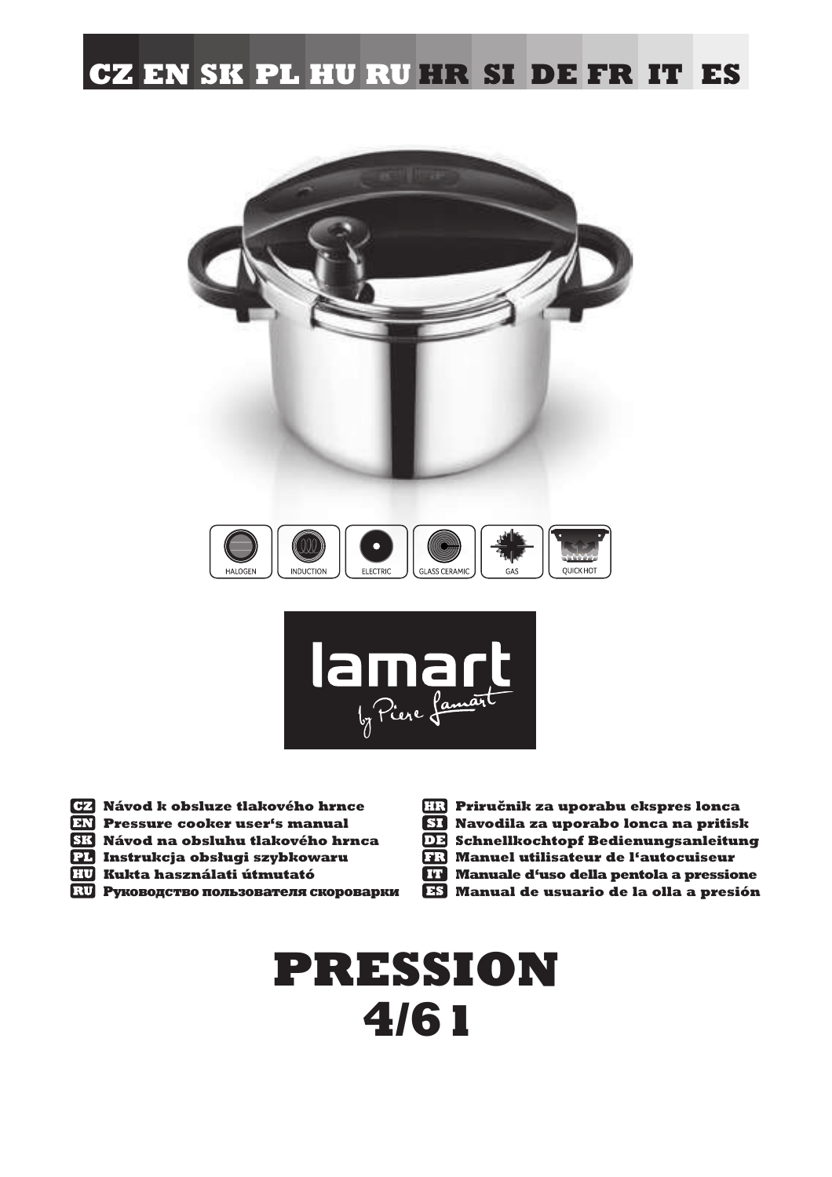# **CZ EN SK PL HU RU HR SI DE FR IT ES**





 **Návod k obsluze tlakového hrnce Pressure cooker user's manual**

- **Návod na obsluhu tlakového hrnca**
- **Instrukcja obsługi szybkowaru**
- **Kukta használati útmutató**
- **ВО Руководство пользователя скороварки**
- **Priručnik za uporabu ekspres lonca Navodila za uporabo lonca na pritisk DE Schnellkochtopf Bedienungsanleitung Manuel utilisateur de l'autocuiseur Manuale d'uso della pentola a pressione**
- **Manual de usuario de la olla a presión**

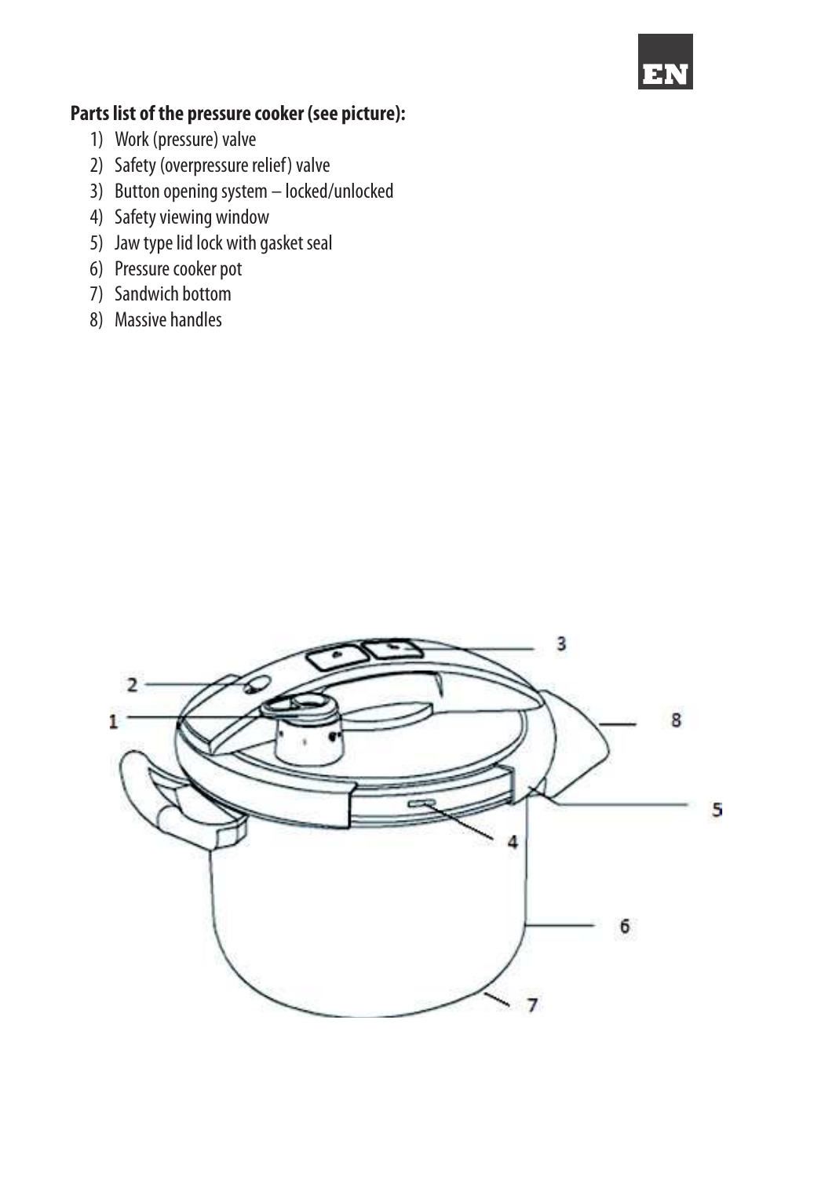

# **Parts list of the pressure cooker (see picture):**

- 1) Work (pressure) valve
- 2) Safety (overpressure relief) valve
- 3) Button opening system locked/unlocked
- 4) Safety viewing window
- 5) Jaw type lid lock with gasket seal
- 6) Pressure cooker pot
- 7) Sandwich bottom
- 8) Massive handles

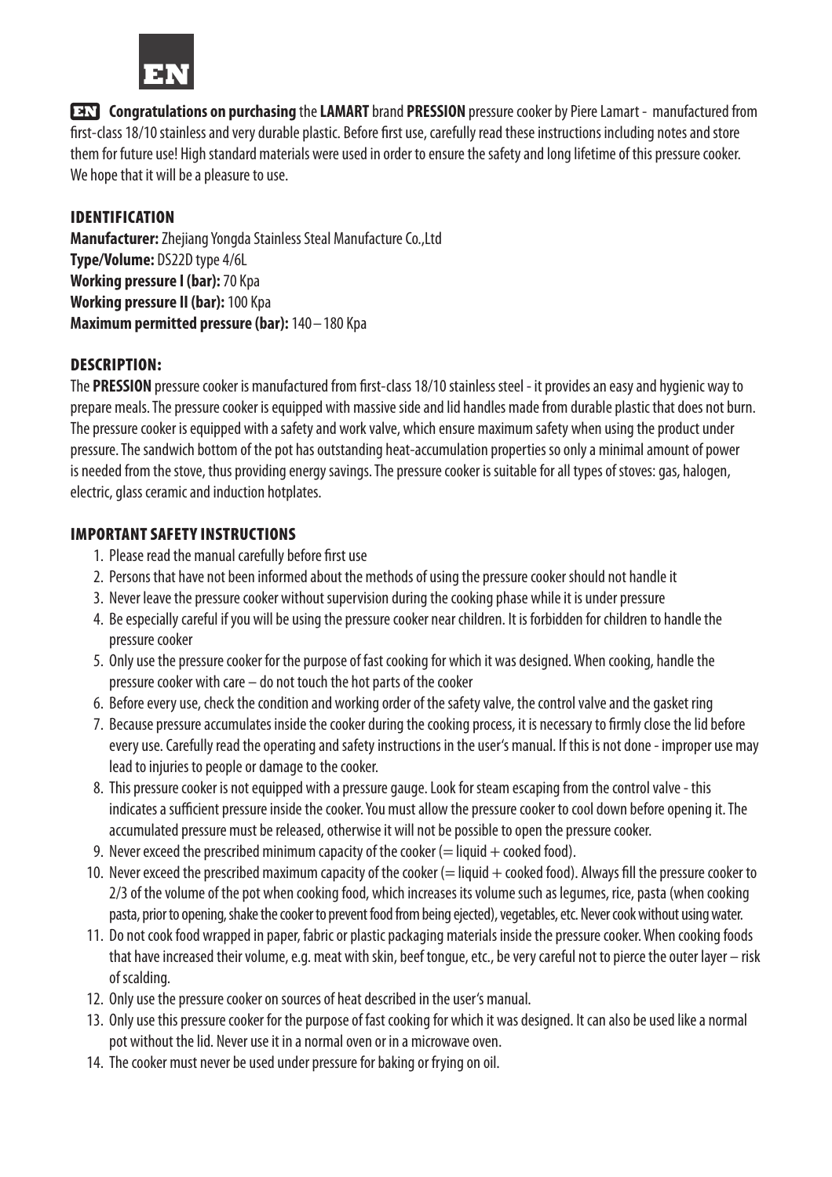

**Congratulations on purchasing** the **LAMART** brand **PRESSION** pressure cooker by Piere Lamart - manufactured from first-class 18/10 stainless and very durable plastic. Before first use, carefully read these instructions including notes and store them for future use! High standard materials were used in order to ensure the safety and long lifetime of this pressure cooker. We hope that it will be a pleasure to use.

# IDENTIFICATION

**Manufacturer:** Zhejiang Yongda Stainless Steal Manufacture Co.,Ltd **Type/Volume:** DS22D type 4/6L **Working pressure I (bar):** 70 Kpa **Working pressure II (bar):** 100 Kpa **Maximum permitted pressure (bar):** 140–180 Kpa

# DESCRIPTION:

The PRESSION pressure cooker is manufactured from first-class 18/10 stainless steel - it provides an easy and hygienic way to prepare meals. The pressure cooker is equipped with massive side and lid handles made from durable plastic that does not burn. The pressure cooker is equipped with a safety and work valve, which ensure maximum safety when using the product under pressure. The sandwich bottom of the pot has outstanding heat-accumulation properties so only a minimal amount of power is needed from the stove, thus providing energy savings. The pressure cooker is suitable for all types of stoves: gas, halogen, electric, glass ceramic and induction hotplates.

# IMPORTANT SAFETY INSTRUCTIONS

- 1. Please read the manual carefully before first use
- 2. Persons that have not been informed about the methods of using the pressure cooker should not handle it
- 3. Never leave the pressure cooker without supervision during the cooking phase while it is under pressure
- 4. Be especially careful if you will be using the pressure cooker near children. It is forbidden for children to handle the pressure cooker
- 5. Only use the pressure cooker for the purpose of fast cooking for which it was designed. When cooking, handle the pressure cooker with care – do not touch the hot parts of the cooker
- 6. Before every use, check the condition and working order of the safety valve, the control valve and the gasket ring
- 7. Because pressure accumulates inside the cooker during the cooking process, it is necessary to firmly close the lid before every use. Carefully read the operating and safety instructions in the user's manual. If this is not done - improper use may lead to injuries to people or damage to the cooker.
- 8. This pressure cooker is not equipped with a pressure gauge. Look for steam escaping from the control valve this indicates a sufficient pressure inside the cooker. You must allow the pressure cooker to cool down before opening it. The accumulated pressure must be released, otherwise it will not be possible to open the pressure cooker.
- 9. Never exceed the prescribed minimum capacity of the cooker  $(=$  liquid  $+$  cooked food).
- 10. Never exceed the prescribed maximum capacity of the cooker  $(=$  liquid  $+$  cooked food). Always fill the pressure cooker to 2/3 of the volume of the pot when cooking food, which increases its volume such as legumes, rice, pasta (when cooking pasta, prior to opening, shake the cooker to prevent food from being ejected), vegetables, etc. Never cook without using water.
- 11. Do not cook food wrapped in paper, fabric or plastic packaging materials inside the pressure cooker. When cooking foods that have increased their volume, e.g. meat with skin, beef tongue, etc., be very careful not to pierce the outer layer – risk of scalding.
- 12. Only use the pressure cooker on sources of heat described in the user's manual.
- 13. Only use this pressure cooker for the purpose of fast cooking for which it was designed. It can also be used like a normal pot without the lid. Never use it in a normal oven or in a microwave oven.
- 14. The cooker must never be used under pressure for baking or frying on oil.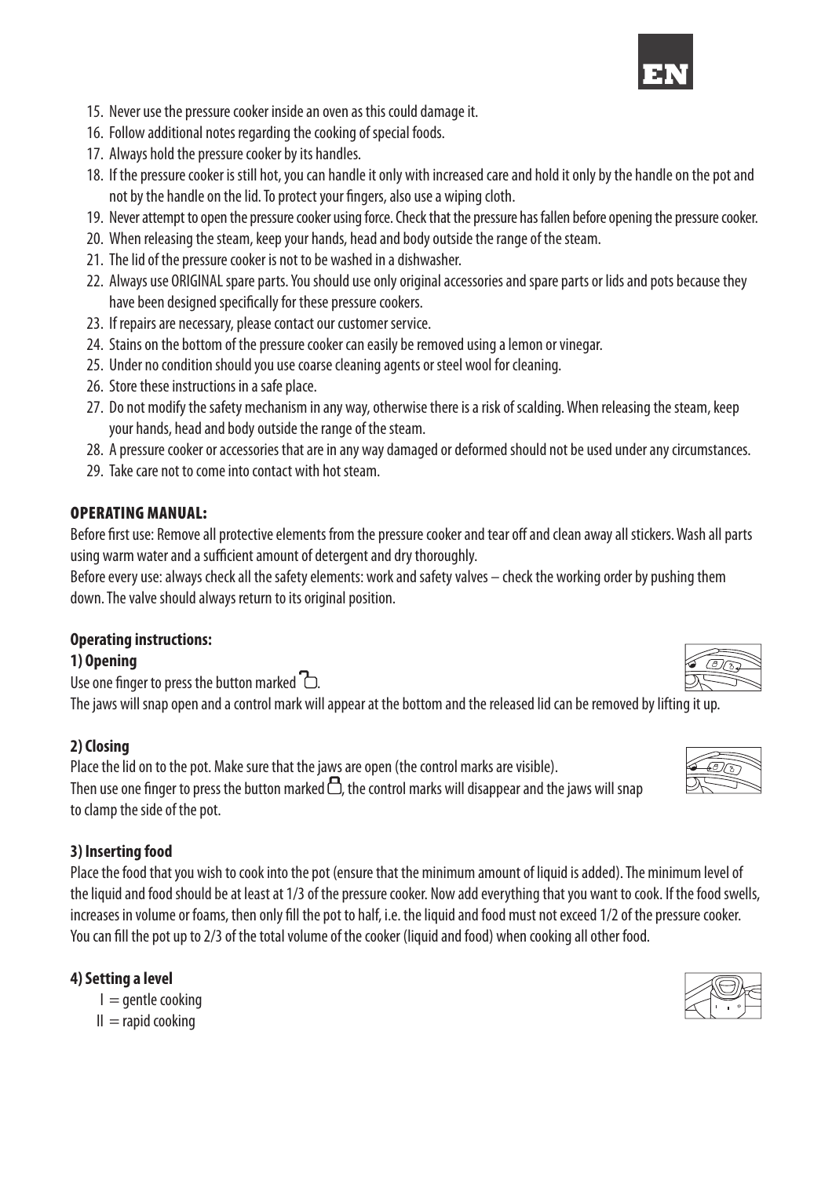

- 15. Never use the pressure cooker inside an oven as this could damage it.
- 16. Follow additional notes regarding the cooking of special foods.
- 17. Always hold the pressure cooker by its handles.
- 18. If the pressure cooker is still hot, you can handle it only with increased care and hold it only by the handle on the pot and not by the handle on the lid. To protect your fingers, also use a wiping cloth.
- 19. Never attempt to open the pressure cooker using force. Check that the pressure has fallen before opening the pressure cooker.
- 20. When releasing the steam, keep your hands, head and body outside the range of the steam.
- 21. The lid of the pressure cooker is not to be washed in a dishwasher.
- 22. Always use ORIGINAL spare parts. You should use only original accessories and spare parts or lids and pots because they have been designed specifically for these pressure cookers.
- 23. If repairs are necessary, please contact our customer service.
- 24. Stains on the bottom of the pressure cooker can easily be removed using a lemon or vinegar.
- 25. Under no condition should you use coarse cleaning agents or steel wool for cleaning.
- 26. Store these instructions in a safe place.
- 27. Do not modify the safety mechanism in any way, otherwise there is a risk of scalding. When releasing the steam, keep your hands, head and body outside the range of the steam.
- 28. A pressure cooker or accessories that are in any way damaged or deformed should not be used under any circumstances.
- 29. Take care not to come into contact with hot steam.

### OPERATING MANUAL:

Before first use: Remove all protective elements from the pressure cooker and tear off and clean away all stickers. Wash all parts using warm water and a sufficient amount of detergent and dry thoroughly.

Before every use: always check all the safety elements: work and safety valves – check the working order by pushing them down. The valve should always return to its original position.

# **Operating instructions:**

#### **1) Opening**

Use one finger to press the button marked  $\Box$ . The jaws will snap open and a control mark will appear at the bottom and the released lid can be removed by lifting it up.

# **2) Closing**

Place the lid on to the pot. Make sure that the jaws are open (the control marks are visible). Then use one finger to press the button marked  $\Box$ , the control marks will disappear and the jaws will snap to clamp the side of the pot.

#### **3) Inserting food**

Place the food that you wish to cook into the pot (ensure that the minimum amount of liquid is added). The minimum level of the liquid and food should be at least at 1/3 of the pressure cooker. Now add everything that you want to cook. If the food swells, increases in volume or foams, then only fill the pot to half, i.e. the liquid and food must not exceed 1/2 of the pressure cooker. You can fill the pot up to 2/3 of the total volume of the cooker (liquid and food) when cooking all other food.

# **4) Setting a level**

 $I =$  gentle cooking  $II =$ rapid cooking

| 8<br>-25 |
|----------|
|          |
|          |

 $\overline{\mathbb{R}}$ 

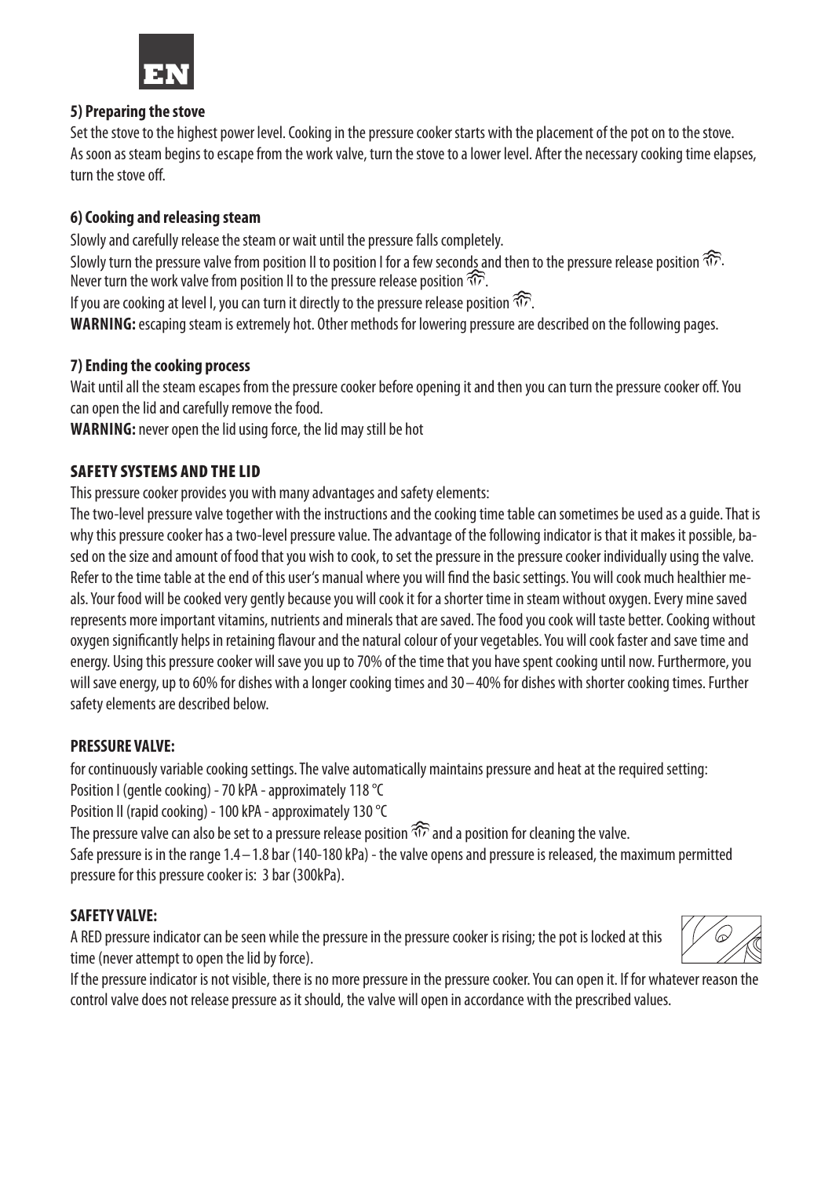

### **5) Preparing the stove**

Set the stove to the highest power level. Cooking in the pressure cooker starts with the placement of the pot on to the stove. As soon as steam begins to escape from the work valve, turn the stove to a lower level. After the necessary cooking time elapses, turn the stove off.

# **6) Cooking and releasing steam**

Slowly and carefully release the steam or wait until the pressure falls completely. Slowly turn the pressure valve from position II to position I for a few seconds and then to the pressure release position  $\widehat{\mathbb{CP}}$ . Never turn the work valve from position II to the pressure release position  $\widehat{\mathfrak{NP}}$ . If you are cooking at level I, you can turn it directly to the pressure release position  $\widehat{\mathbb{CP}}$ .

**WARNING:** escaping steam is extremely hot. Other methods for lowering pressure are described on the following pages.

# **7) Ending the cooking process**

Wait until all the steam escapes from the pressure cooker before opening it and then you can turn the pressure cooker off. You can open the lid and carefully remove the food.

**WARNING:** never open the lid using force, the lid may still be hot

### SAFETY SYSTEMS AND THE LID

This pressure cooker provides you with many advantages and safety elements:

The two-level pressure valve together with the instructions and the cooking time table can sometimes be used as a guide. That is why this pressure cooker has a two-level pressure value. The advantage of the following indicator is that it makes it possible, based on the size and amount of food that you wish to cook, to set the pressure in the pressure cooker individually using the valve. Refer to the time table at the end of this user's manual where you will find the basic settings. You will cook much healthier meals. Your food will be cooked very gently because you will cook it for a shorter time in steam without oxygen. Every mine saved represents more important vitamins, nutrients and minerals that are saved. The food you cook will taste better. Cooking without oxygen significantly helps in retaining flavour and the natural colour of your vegetables. You will cook faster and save time and energy. Using this pressure cooker will save you up to 70% of the time that you have spent cooking until now. Furthermore, you will save energy, up to 60% for dishes with a longer cooking times and 30–40% for dishes with shorter cooking times. Further safety elements are described below.

# **PRESSURE VALVE:**

for continuously variable cooking settings. The valve automatically maintains pressure and heat at the required setting:

Position I (gentle cooking) - 70 kPA - approximately 118 °C

Position II (rapid cooking) - 100 kPA - approximately 130 °C

The pressure valve can also be set to a pressure release position  $\widehat{\pi}$  and a position for cleaning the valve.

Safe pressure is in the range 1.4–1.8 bar (140-180 kPa) - the valve opens and pressure is released, the maximum permitted pressure for this pressure cooker is: 3 bar (300kPa).

#### **SAFETY VALVE:**

A RED pressure indicator can be seen while the pressure in the pressure cooker is rising; the pot is locked at this time (never attempt to open the lid by force).



If the pressure indicator is not visible, there is no more pressure in the pressure cooker. You can open it. If for whatever reason the control valve does not release pressure as it should, the valve will open in accordance with the prescribed values.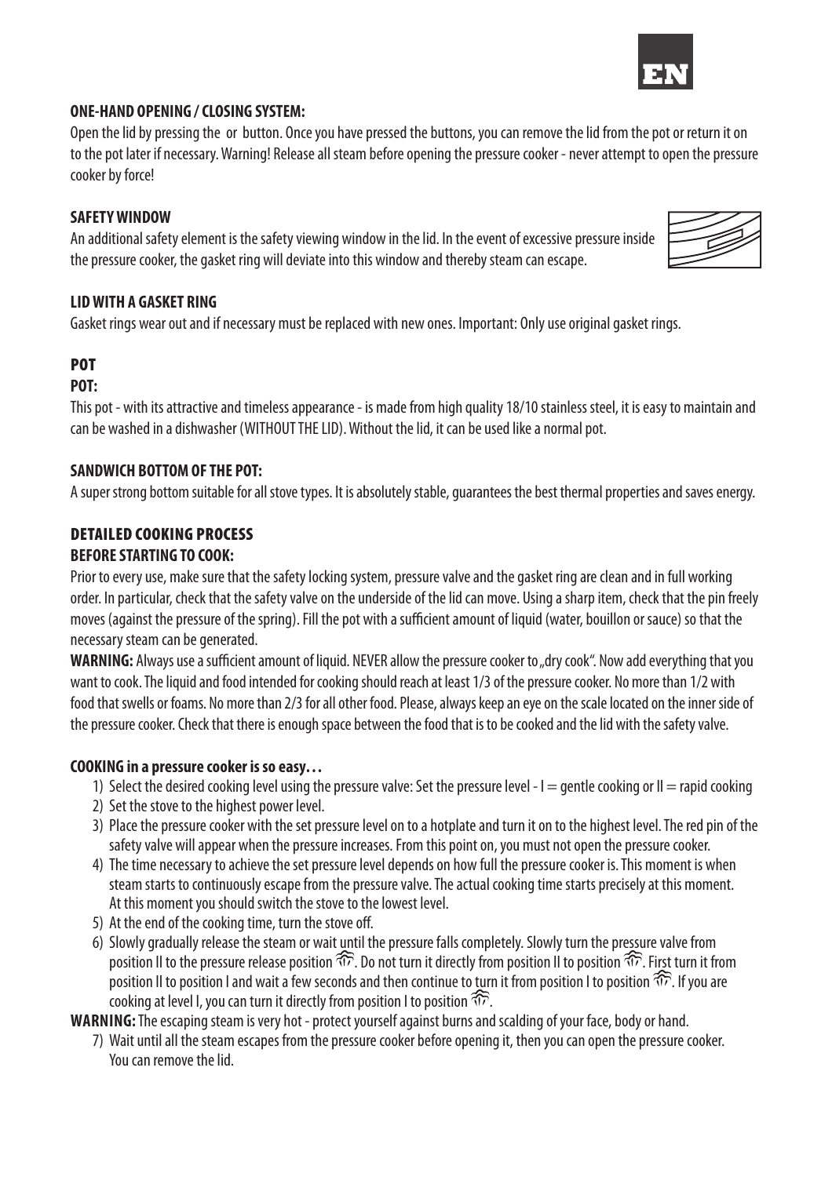#### **ONE-HAND OPENING / CLOSING SYSTEM:**

Open the lid by pressing the or button. Once you have pressed the buttons, you can remove the lid from the pot or return it on to the pot later if necessary. Warning! Release all steam before opening the pressure cooker - never attempt to open the pressure cooker by force!

### **SAFETY WINDOW**

An additional safety element is the safety viewing window in the lid. In the event of excessive pressure inside the pressure cooker, the gasket ring will deviate into this window and thereby steam can escape.

# **LID WITH A GASKET RING**

Gasket rings wear out and if necessary must be replaced with new ones. Important: Only use original gasket rings.

# POT

#### **POT:**

This pot - with its attractive and timeless appearance - is made from high quality 18/10 stainless steel, it is easy to maintain and can be washed in a dishwasher (WITHOUT THE LID). Without the lid, it can be used like a normal pot.

#### **SANDWICH BOTTOM OF THE POT:**

A super strong bottom suitable for all stove types. It is absolutely stable, guarantees the best thermal properties and saves energy.

#### DETAILED COOKING PROCESS **BEFORE STARTING TO COOK:**

Prior to every use, make sure that the safety locking system, pressure valve and the gasket ring are clean and in full working order. In particular, check that the safety valve on the underside of the lid can move. Using a sharp item, check that the pin freely moves (against the pressure of the spring). Fill the pot with a sufficient amount of liquid (water, bouillon or sauce) so that the necessary steam can be generated.

**WARNING:** Always use a sufficient amount of liquid. NEVER allow the pressure cooker to "dry cook". Now add everything that you want to cook. The liquid and food intended for cooking should reach at least 1/3 of the pressure cooker. No more than 1/2 with food that swells or foams. No more than 2/3 for all other food. Please, always keep an eye on the scale located on the inner side of the pressure cooker. Check that there is enough space between the food that is to be cooked and the lid with the safety valve.

#### **COOKING in a pressure cooker is so easy…**

- 1) Select the desired cooking level using the pressure valve: Set the pressure level  $-1$  = gentle cooking or  $II$  = rapid cooking
- 2) Set the stove to the highest power level.
- 3) Place the pressure cooker with the set pressure level on to a hotplate and turn it on to the highest level. The red pin of the safety valve will appear when the pressure increases. From this point on, you must not open the pressure cooker.
- 4) The time necessary to achieve the set pressure level depends on how full the pressure cooker is. This moment is when steam starts to continuously escape from the pressure valve. The actual cooking time starts precisely at this moment. At this moment you should switch the stove to the lowest level.
- 5) At the end of the cooking time, turn the stove off.
- 6) Slowly gradually release the steam or wait until the pressure falls completely. Slowly turn the pressure valve from position II to the pressure release position  $\widehat{\pi}$ . Do not turn it directly from position II to position  $\widehat{\pi}$ . First turn it from position II to position I and wait a few seconds and then continue to turn it from position I to position  $\widehat{\Phi}$ . If you are cooking at level I, you can turn it directly from position I to position  $\widehat{\text{TP}}$ .

**WARNING:** The escaping steam is very hot - protect yourself against burns and scalding of your face, body or hand.

 7) Wait until all the steam escapes from the pressure cooker before opening it, then you can open the pressure cooker. You can remove the lid.



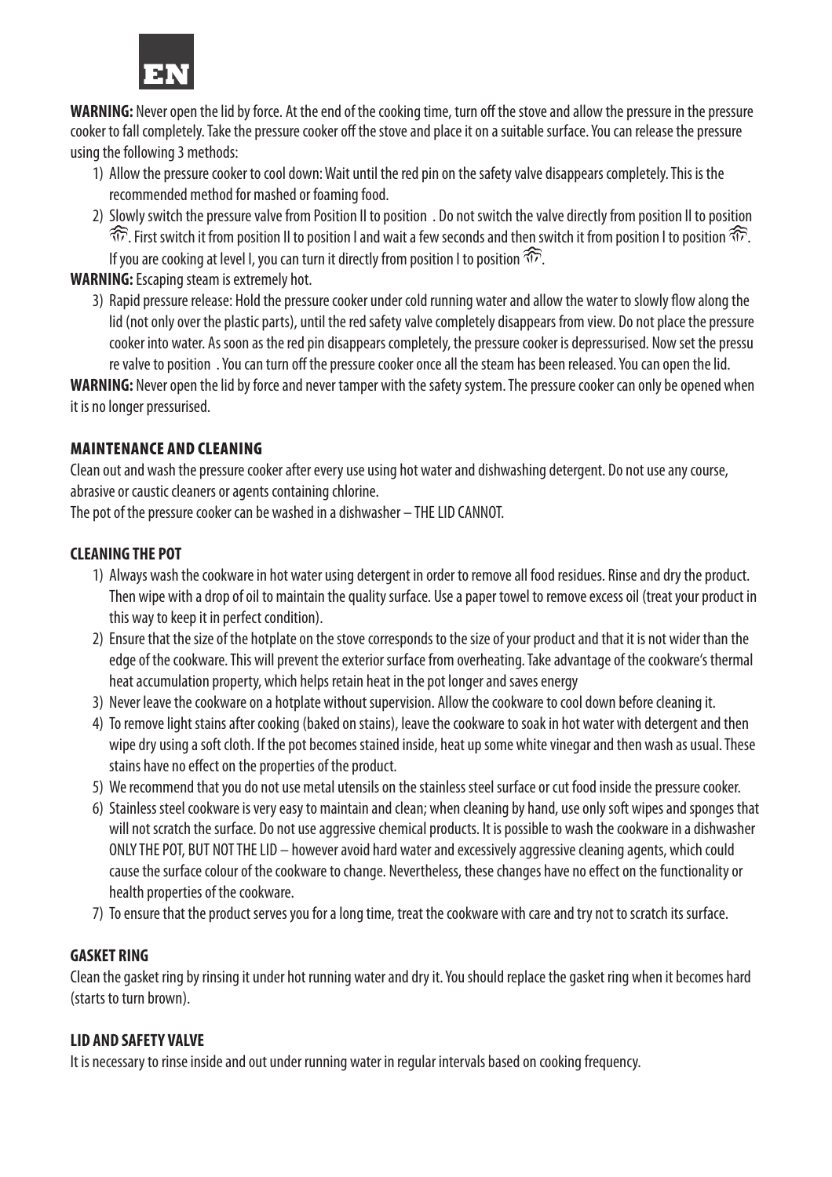

**WARNING:** Never open the lid by force. At the end of the cooking time, turn off the stove and allow the pressure in the pressure cooker to fall completely. Take the pressure cooker off the stove and place it on a suitable surface. You can release the pressure using the following 3 methods:

- 1) Allow the pressure cooker to cool down: Wait until the red pin on the safety valve disappears completely. This is the recommended method for mashed or foaming food.
- 2) Slowly switch the pressure valve from Position II to position . Do not switch the valve directly from position II to position . First switch it from position II to position I and wait a few seconds and then switch it from position I to position . If you are cooking at level I, you can turn it directly from position I to position  $\widehat{\mathbb{CP}}$ .

**WARNING:** Escaping steam is extremely hot.

3) Rapid pressure release: Hold the pressure cooker under cold running water and allow the water to slowly flow along the lid (not only over the plastic parts), until the red safety valve completely disappears from view. Do not place the pressure cooker into water. As soon as the red pin disappears completely, the pressure cooker is depressurised. Now set the pressu re valve to position. You can turn off the pressure cooker once all the steam has been released. You can open the lid.

**WARNING:** Never open the lid by force and never tamper with the safety system. The pressure cooker can only be opened when it is no longer pressurised.

### MAINTENANCE AND CLEANING

Clean out and wash the pressure cooker after every use using hot water and dishwashing detergent. Do not use any course, abrasive or caustic cleaners or agents containing chlorine.

The pot of the pressure cooker can be washed in a dishwasher – THE LID CANNOT.

# **CLEANING THE POT**

- 1) Always wash the cookware in hot water using detergent in order to remove all food residues. Rinse and dry the product. Then wipe with a drop of oil to maintain the quality surface. Use a paper towel to remove excess oil (treat your product in this way to keep it in perfect condition).
- 2) Ensure that the size of the hotplate on the stove corresponds to the size of your product and that it is not wider than the edge of the cookware. This will prevent the exterior surface from overheating. Take advantage of the cookware's thermal heat accumulation property, which helps retain heat in the pot longer and saves energy
- 3) Never leave the cookware on a hotplate without supervision. Allow the cookware to cool down before cleaning it.
- 4) To remove light stains after cooking (baked on stains), leave the cookware to soak in hot water with detergent and then wipe dry using a soft cloth. If the pot becomes stained inside, heat up some white vinegar and then wash as usual. These stains have no effect on the properties of the product.
- 5) We recommend that you do not use metal utensils on the stainless steel surface or cut food inside the pressure cooker.
- 6) Stainless steel cookware is very easy to maintain and clean; when cleaning by hand, use only soft wipes and sponges that will not scratch the surface. Do not use aggressive chemical products. It is possible to wash the cookware in a dishwasher ONLY THE POT, BUT NOT THE LID – however avoid hard water and excessively aggressive cleaning agents, which could cause the surface colour of the cookware to change. Nevertheless, these changes have no effect on the functionality or health properties of the cookware.
- 7) To ensure that the product serves you for a long time, treat the cookware with care and try not to scratch its surface.

# **GASKET RING**

Clean the gasket ring by rinsing it under hot running water and dry it. You should replace the gasket ring when it becomes hard (starts to turn brown).

#### **LID AND SAFETY VALVE**

It is necessary to rinse inside and out under running water in regular intervals based on cooking frequency.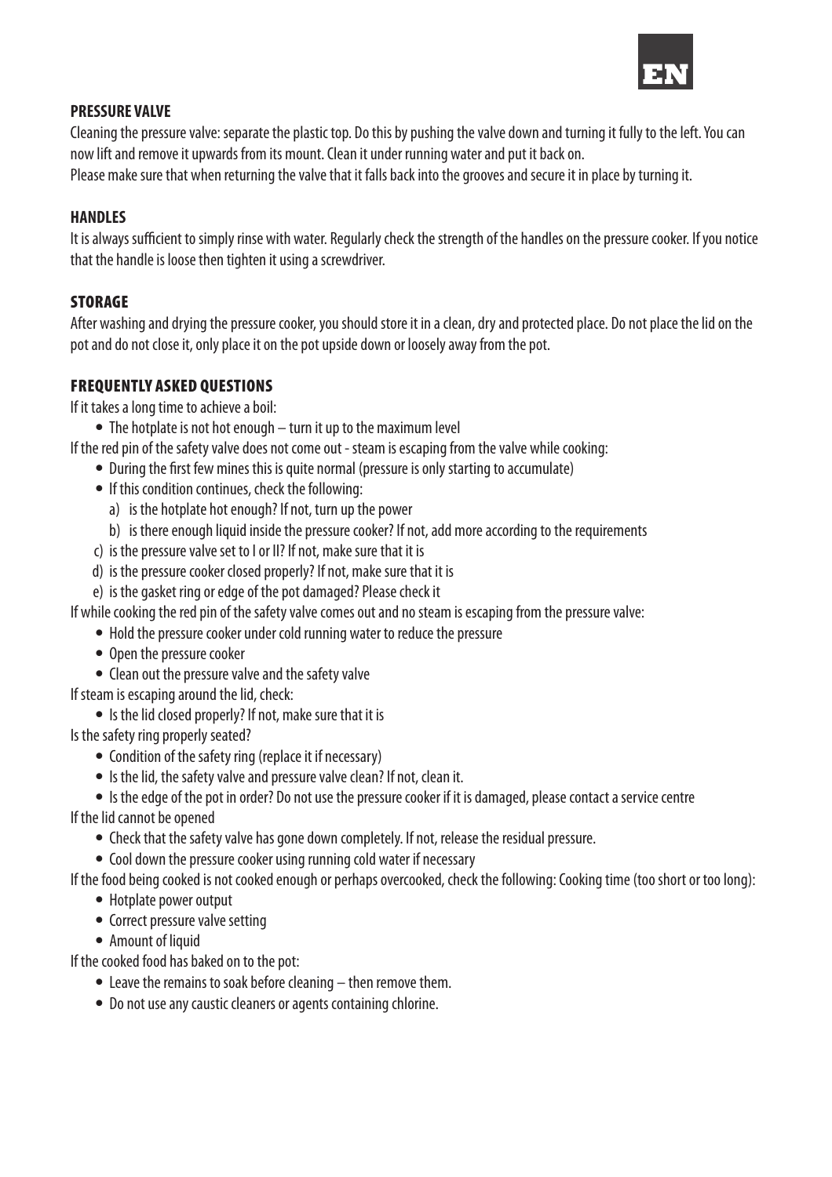

#### **PRESSURE VALVE**

Cleaning the pressure valve: separate the plastic top. Do this by pushing the valve down and turning it fully to the left. You can now lift and remove it upwards from its mount. Clean it under running water and put it back on.

Please make sure that when returning the valve that it falls back into the grooves and secure it in place by turning it.

### **HANDLES**

It is always sufficient to simply rinse with water. Regularly check the strength of the handles on the pressure cooker. If you notice that the handle is loose then tighten it using a screwdriver.

# **STORAGE**

After washing and drying the pressure cooker, you should store it in a clean, dry and protected place. Do not place the lid on the pot and do not close it, only place it on the pot upside down or loosely away from the pot.

# FREQUENTLY ASKED QUESTIONS

If it takes a long time to achieve a boil:

• The hotplate is not hot enough – turn it up to the maximum level

If the red pin of the safety valve does not come out - steam is escaping from the valve while cooking:

- During the first few mines this is quite normal (pressure is only starting to accumulate)
- If this condition continues, check the following:
	- a) is the hotplate hot enough? If not, turn up the power
	- b) is there enough liquid inside the pressure cooker? If not, add more according to the requirements
- c) is the pressure valve set to I or II? If not, make sure that it is
- d) is the pressure cooker closed properly? If not, make sure that it is
- e) is the gasket ring or edge of the pot damaged? Please check it

If while cooking the red pin of the safety valve comes out and no steam is escaping from the pressure valve:

- Hold the pressure cooker under cold running water to reduce the pressure
- Open the pressure cooker
- Clean out the pressure valve and the safety valve

If steam is escaping around the lid, check:

• Is the lid closed properly? If not, make sure that it is

Is the safety ring properly seated?

- Condition of the safety ring (replace it if necessary)
- Is the lid, the safety valve and pressure valve clean? If not, clean it.

 • Is the edge of the pot in order? Do not use the pressure cooker if it is damaged, please contact a service centre If the lid cannot be opened

- Check that the safety valve has gone down completely. If not, release the residual pressure.
- Cool down the pressure cooker using running cold water if necessary
- If the food being cooked is not cooked enough or perhaps overcooked, check the following: Cooking time (too short or too long):
	- Hotplate power output
	- Correct pressure valve setting
	- Amount of liquid

If the cooked food has baked on to the pot:

- Leave the remains to soak before cleaning then remove them.
- Do not use any caustic cleaners or agents containing chlorine.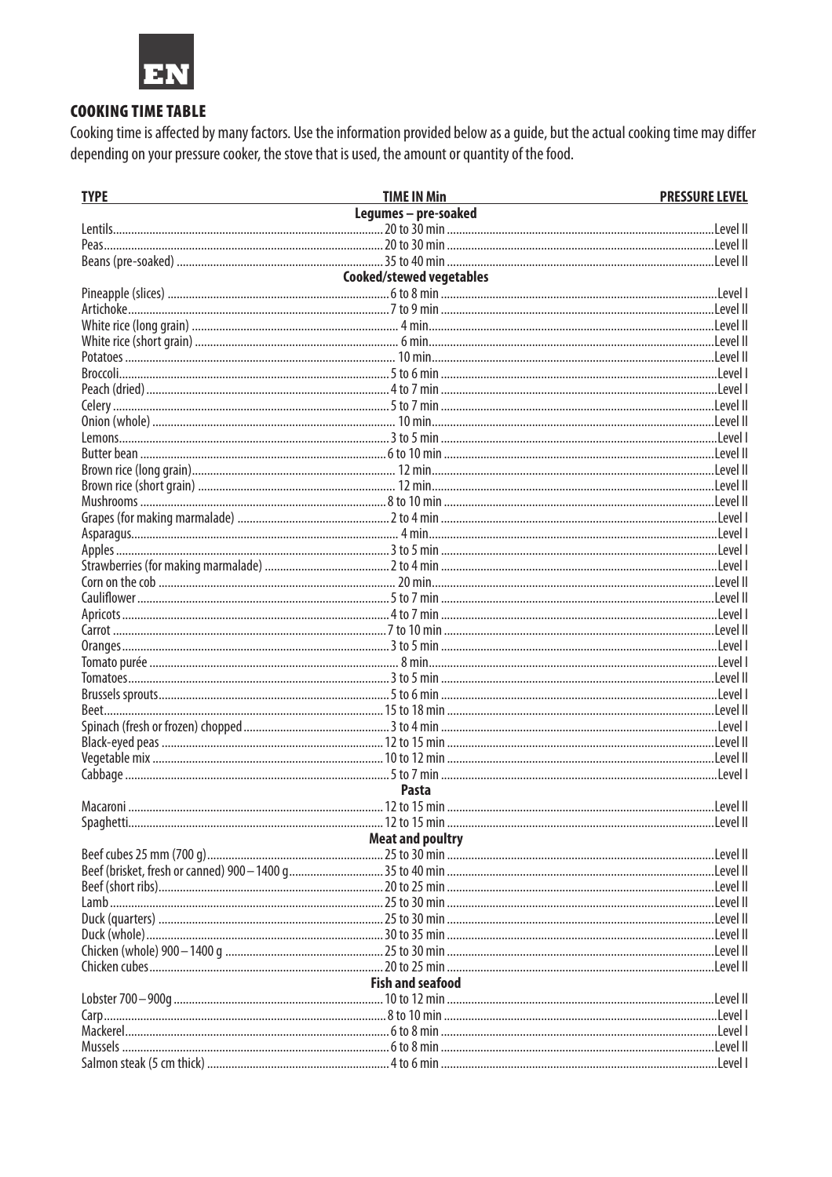

# **COOKING TIME TABLE**

Cooking time is affected by many factors. Use the information provided below as a guide, but the actual cooking time may differ depending on your pressure cooker, the stove that is used, the amount or quantity of the food.

| <b>TYPE</b>                     | <b>TIME IN Min</b>      | <b>PRESSURE LEVEL</b> |  |  |
|---------------------------------|-------------------------|-----------------------|--|--|
|                                 | Legumes - pre-soaked    |                       |  |  |
|                                 |                         |                       |  |  |
|                                 |                         |                       |  |  |
|                                 |                         |                       |  |  |
| <b>Cooked/stewed vegetables</b> |                         |                       |  |  |
|                                 |                         |                       |  |  |
|                                 |                         |                       |  |  |
|                                 |                         |                       |  |  |
|                                 |                         |                       |  |  |
|                                 |                         |                       |  |  |
|                                 |                         |                       |  |  |
|                                 |                         |                       |  |  |
|                                 |                         |                       |  |  |
|                                 |                         |                       |  |  |
|                                 |                         |                       |  |  |
|                                 |                         |                       |  |  |
|                                 |                         |                       |  |  |
|                                 |                         |                       |  |  |
|                                 |                         |                       |  |  |
|                                 |                         |                       |  |  |
|                                 |                         |                       |  |  |
|                                 |                         |                       |  |  |
|                                 |                         |                       |  |  |
|                                 |                         |                       |  |  |
|                                 |                         |                       |  |  |
|                                 |                         |                       |  |  |
|                                 |                         |                       |  |  |
|                                 |                         |                       |  |  |
|                                 |                         |                       |  |  |
|                                 |                         |                       |  |  |
|                                 |                         |                       |  |  |
|                                 |                         |                       |  |  |
|                                 |                         |                       |  |  |
|                                 |                         |                       |  |  |
|                                 |                         |                       |  |  |
|                                 |                         |                       |  |  |
|                                 | <b>Pasta</b>            |                       |  |  |
|                                 |                         |                       |  |  |
|                                 |                         |                       |  |  |
|                                 | <b>Meat and poultry</b> |                       |  |  |
|                                 |                         |                       |  |  |
|                                 |                         |                       |  |  |
|                                 |                         |                       |  |  |
|                                 |                         |                       |  |  |
|                                 |                         |                       |  |  |
|                                 |                         |                       |  |  |
|                                 |                         |                       |  |  |
| <b>Fish and seafood</b>         |                         |                       |  |  |
|                                 |                         |                       |  |  |
|                                 |                         |                       |  |  |
|                                 |                         |                       |  |  |
|                                 |                         |                       |  |  |
|                                 |                         |                       |  |  |
|                                 |                         |                       |  |  |